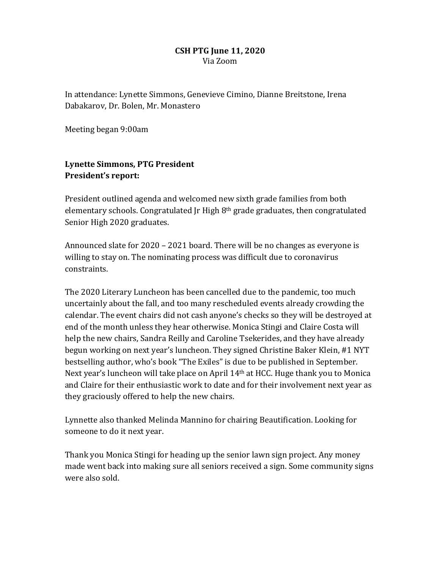#### **CSH PTG June 11, 2020** Via Zoom

In attendance: Lynette Simmons, Genevieve Cimino, Dianne Breitstone, Irena Dabakarov, Dr. Bolen, Mr. Monastero

Meeting began 9:00am

# **Lynette Simmons, PTG President President's report:**

President outlined agenda and welcomed new sixth grade families from both elementary schools. Congratulated Ir High  $8<sup>th</sup>$  grade graduates, then congratulated Senior High 2020 graduates.

Announced slate for  $2020 - 2021$  board. There will be no changes as everyone is willing to stay on. The nominating process was difficult due to coronavirus constraints. 

The 2020 Literary Luncheon has been cancelled due to the pandemic, too much uncertainly about the fall, and too many rescheduled events already crowding the calendar. The event chairs did not cash anyone's checks so they will be destroyed at end of the month unless they hear otherwise. Monica Stingi and Claire Costa will help the new chairs, Sandra Reilly and Caroline Tsekerides, and they have already begun working on next year's luncheon. They signed Christine Baker Klein, #1 NYT bestselling author, who's book "The Exiles" is due to be published in September. Next year's luncheon will take place on April  $14<sup>th</sup>$  at HCC. Huge thank you to Monica and Claire for their enthusiastic work to date and for their involvement next year as they graciously offered to help the new chairs.

Lynnette also thanked Melinda Mannino for chairing Beautification. Looking for someone to do it next year.

Thank you Monica Stingi for heading up the senior lawn sign project. Any money made went back into making sure all seniors received a sign. Some community signs were also sold.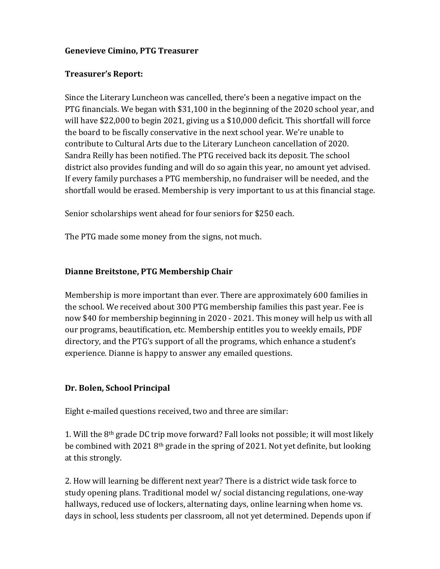#### **Genevieve Cimino, PTG Treasurer**

#### **Treasurer's Report:**

Since the Literary Luncheon was cancelled, there's been a negative impact on the PTG financials. We began with \$31,100 in the beginning of the 2020 school year, and will have  $$22,000$  to begin 2021, giving us a  $$10,000$  deficit. This shortfall will force the board to be fiscally conservative in the next school year. We're unable to contribute to Cultural Arts due to the Literary Luncheon cancellation of 2020. Sandra Reilly has been notified. The PTG received back its deposit. The school district also provides funding and will do so again this year, no amount yet advised. If every family purchases a PTG membership, no fundraiser will be needed, and the shortfall would be erased. Membership is very important to us at this financial stage.

Senior scholarships went ahead for four seniors for \$250 each.

The PTG made some money from the signs, not much.

## **Dianne Breitstone, PTG Membership Chair**

Membership is more important than ever. There are approximately 600 families in the school. We received about 300 PTG membership families this past year. Fee is now \$40 for membership beginning in 2020 - 2021. This money will help us with all our programs, beautification, etc. Membership entitles you to weekly emails, PDF directory, and the PTG's support of all the programs, which enhance a student's experience. Dianne is happy to answer any emailed questions.

## **Dr. Bolen, School Principal**

Eight e-mailed questions received, two and three are similar:

1. Will the 8<sup>th</sup> grade DC trip move forward? Fall looks not possible; it will most likely be combined with  $20218$ <sup>th</sup> grade in the spring of 2021. Not yet definite, but looking at this strongly.

2. How will learning be different next year? There is a district wide task force to study opening plans. Traditional model w/ social distancing regulations, one-way hallways, reduced use of lockers, alternating days, online learning when home vs. days in school, less students per classroom, all not yet determined. Depends upon if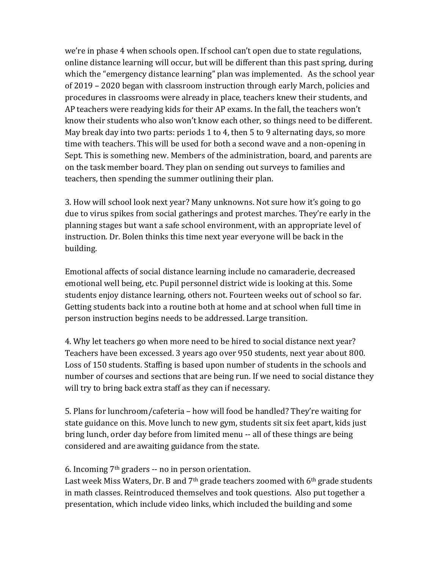we're in phase 4 when schools open. If school can't open due to state regulations, online distance learning will occur, but will be different than this past spring, during which the "emergency distance learning" plan was implemented. As the school year of 2019 - 2020 began with classroom instruction through early March, policies and procedures in classrooms were already in place, teachers knew their students, and AP teachers were readying kids for their AP exams. In the fall, the teachers won't know their students who also won't know each other, so things need to be different. May break day into two parts: periods 1 to 4, then 5 to 9 alternating days, so more time with teachers. This will be used for both a second wave and a non-opening in Sept. This is something new. Members of the administration, board, and parents are on the task member board. They plan on sending out surveys to families and teachers, then spending the summer outlining their plan.

3. How will school look next year? Many unknowns. Not sure how it's going to go due to virus spikes from social gatherings and protest marches. They're early in the planning stages but want a safe school environment, with an appropriate level of instruction. Dr. Bolen thinks this time next year everyone will be back in the building. 

Emotional affects of social distance learning include no camaraderie, decreased emotional well being, etc. Pupil personnel district wide is looking at this. Some students enjoy distance learning, others not. Fourteen weeks out of school so far. Getting students back into a routine both at home and at school when full time in person instruction begins needs to be addressed. Large transition.

4. Why let teachers go when more need to be hired to social distance next year? Teachers have been excessed. 3 years ago over 950 students, next year about 800. Loss of 150 students. Staffing is based upon number of students in the schools and number of courses and sections that are being run. If we need to social distance they will try to bring back extra staff as they can if necessary.

5. Plans for lunchroom/cafeteria – how will food be handled? They're waiting for state guidance on this. Move lunch to new gym, students sit six feet apart, kids just bring lunch, order day before from limited menu -- all of these things are being considered and are awaiting guidance from the state.

6. Incoming  $7<sup>th</sup>$  graders -- no in person orientation.

Last week Miss Waters, Dr. B and  $7<sup>th</sup>$  grade teachers zoomed with  $6<sup>th</sup>$  grade students in math classes. Reintroduced themselves and took questions. Also put together a presentation, which include video links, which included the building and some